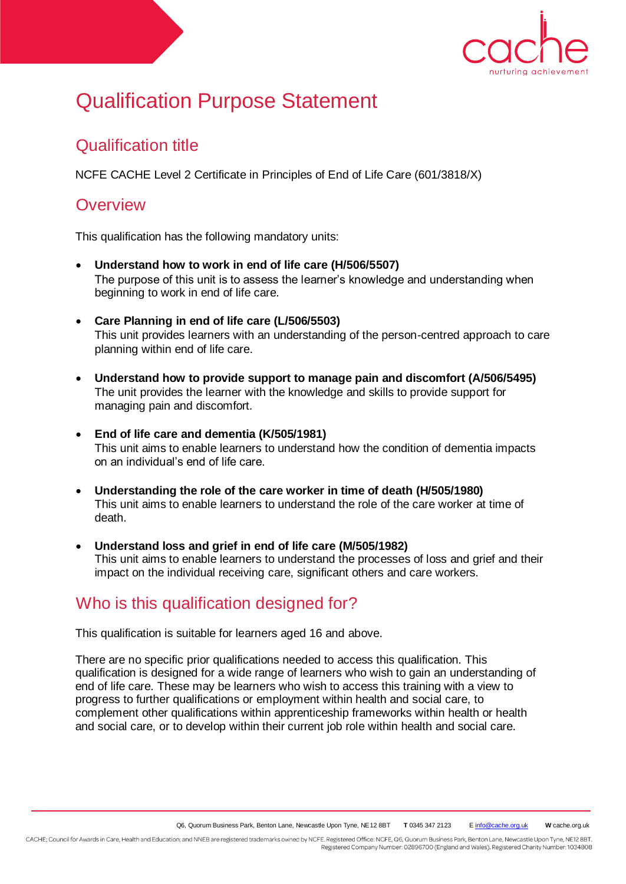

# Qualification Purpose Statement

# Qualification title

NCFE CACHE Level 2 Certificate in Principles of End of Life Care (601/3818/X)

#### **Overview**

This qualification has the following mandatory units:

- **Understand how to work in end of life care (H/506/5507)**  The purpose of this unit is to assess the learner's knowledge and understanding when beginning to work in end of life care.
- **Care Planning in end of life care (L/506/5503)** This unit provides learners with an understanding of the person-centred approach to care planning within end of life care.
- **Understand how to provide support to manage pain and discomfort (A/506/5495)**  The unit provides the learner with the knowledge and skills to provide support for managing pain and discomfort.
- **End of life care and dementia (K/505/1981)**  This unit aims to enable learners to understand how the condition of dementia impacts on an individual's end of life care.
- **Understanding the role of the care worker in time of death (H/505/1980)**  This unit aims to enable learners to understand the role of the care worker at time of death.
- **Understand loss and grief in end of life care (M/505/1982)** This unit aims to enable learners to understand the processes of loss and grief and their impact on the individual receiving care, significant others and care workers.

## Who is this qualification designed for?

This qualification is suitable for learners aged 16 and above.

There are no specific prior qualifications needed to access this qualification. This qualification is designed for a wide range of learners who wish to gain an understanding of end of life care. These may be learners who wish to access this training with a view to progress to further qualifications or employment within health and social care, to complement other qualifications within apprenticeship frameworks within health or health and social care, or to develop within their current job role within health and social care.

CACHE; Council for Awards in Care, Health and Education; and NNEB are registered trademarks owned by NCFE. Registered Office: NCFE, Q6, Quorum Business Park, Benton Lane, Newcastle Upon Tyne, NE12 8BT. Registered Company Number: 02896700 (England and Wales). Registered Charity Number: 1034808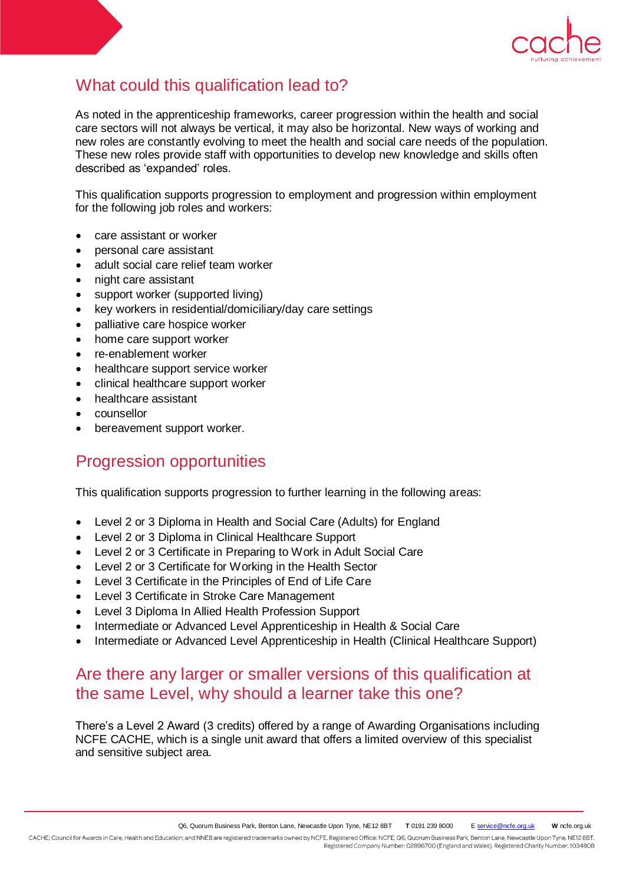

# What could this qualification lead to?

As noted in the apprenticeship frameworks, career progression within the health and social care sectors will not always be vertical, it may also be horizontal. New ways of working and new roles are constantly evolving to meet the health and social care needs of the population. These new roles provide staff with opportunities to develop new knowledge and skills often described as 'expanded' roles.

This qualification supports progression to employment and progression within employment for the following job roles and workers:

- care assistant or worker
- personal care assistant
- adult social care relief team worker
- night care assistant
- support worker (supported living)
- key workers in residential/domiciliary/day care settings
- palliative care hospice worker
- home care support worker
- re-enablement worker
- healthcare support service worker
- clinical healthcare support worker
- healthcare assistant
- counsellor
- bereavement support worker.

#### Progression opportunities

This qualification supports progression to further learning in the following areas:

- Level 2 or 3 Diploma in Health and Social Care (Adults) for England
- Level 2 or 3 Diploma in Clinical Healthcare Support
- Level 2 or 3 Certificate in Preparing to Work in Adult Social Care
- Level 2 or 3 Certificate for Working in the Health Sector
- Level 3 Certificate in the Principles of End of Life Care
- Level 3 Certificate in Stroke Care Management
- Level 3 Diploma In Allied Health Profession Support
- Intermediate or Advanced Level Apprenticeship in Health & Social Care
- Intermediate or Advanced Level Apprenticeship in Health (Clinical Healthcare Support)

## Are there any larger or smaller versions of this qualification at the same Level, why should a learner take this one?

There's a Level 2 Award (3 credits) offered by a range of Awarding Organisations including NCFE CACHE, which is a single unit award that offers a limited overview of this specialist and sensitive subject area.

CACHE; Council for Awards in Care, Health and Education; and NNEB are registered trademarks owned by NCFE. Registered Office: NCFE, Q6, Quorum Business Park, Benton Lane, Newcastle Upon Tyne, NE12 8BT. Registered Company Number: 02896700 (England and Wales). Registered Charity Number: 1034808